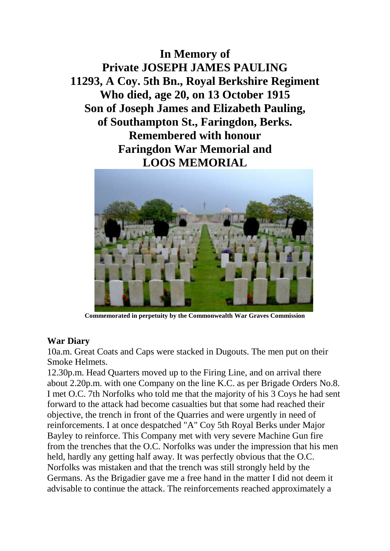**In Memory of Private JOSEPH JAMES PAULING 11293, A Coy. 5th Bn., Royal Berkshire Regiment Who died, age 20, on 13 October 1915 Son of Joseph James and Elizabeth Pauling, of Southampton St., Faringdon, Berks. Remembered with honour Faringdon War Memorial and LOOS MEMORIAL**



**Commemorated in perpetuity by the Commonwealth War Graves Commission** 

## **War Diary**

10a.m. Great Coats and Caps were stacked in Dugouts. The men put on their Smoke Helmets.

12.30p.m. Head Quarters moved up to the Firing Line, and on arrival there about 2.20p.m. with one Company on the line K.C. as per Brigade Orders No.8. I met O.C. 7th Norfolks who told me that the majority of his 3 Coys he had sent forward to the attack had become casualties but that some had reached their objective, the trench in front of the Quarries and were urgently in need of reinforcements. I at once despatched "A" Coy 5th Royal Berks under Major Bayley to reinforce. This Company met with very severe Machine Gun fire from the trenches that the O.C. Norfolks was under the impression that his men held, hardly any getting half away. It was perfectly obvious that the O.C. Norfolks was mistaken and that the trench was still strongly held by the Germans. As the Brigadier gave me a free hand in the matter I did not deem it advisable to continue the attack. The reinforcements reached approximately a